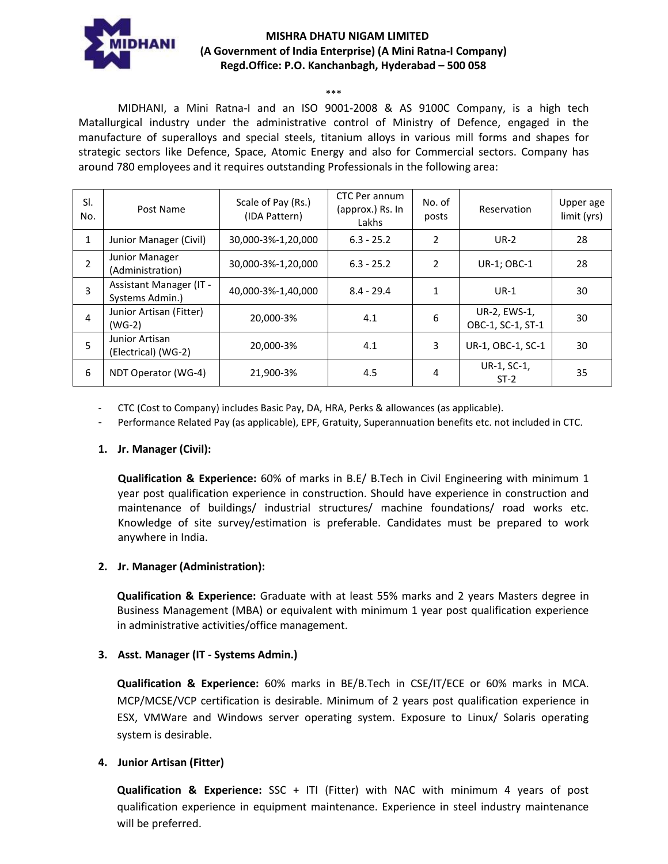

## **MISHRA DHATU NIGAM LIMITED (A Government of India Enterprise) (A Mini Ratna-I Company) Regd.Office: P.O. Kanchanbagh, Hyderabad – 500 058**

#### \*\*\*

MIDHANI, a Mini Ratna-I and an ISO 9001-2008 & AS 9100C Company, is a high tech Matallurgical industry under the administrative control of Ministry of Defence, engaged in the manufacture of superalloys and special steels, titanium alloys in various mill forms and shapes for strategic sectors like Defence, Space, Atomic Energy and also for Commercial sectors. Company has around 780 employees and it requires outstanding Professionals in the following area:

| SI.<br>No.     | Post Name                                  | Scale of Pay (Rs.)<br>(IDA Pattern) | CTC Per annum<br>(approx.) Rs. In<br>Lakhs | No. of<br>posts | Reservation                       | Upper age<br>limit (yrs) |
|----------------|--------------------------------------------|-------------------------------------|--------------------------------------------|-----------------|-----------------------------------|--------------------------|
| 1              | Junior Manager (Civil)                     | 30,000-3%-1,20,000                  | $6.3 - 25.2$                               | $\overline{2}$  | $UR-2$                            | 28                       |
| $\overline{2}$ | Junior Manager<br>(Administration)         | 30,000-3%-1,20,000                  | $6.3 - 25.2$                               | 2               | UR-1; OBC-1                       | 28                       |
| 3              | Assistant Manager (IT -<br>Systems Admin.) | 40,000-3%-1,40,000                  | $8.4 - 29.4$                               | 1               | $UR-1$                            | 30                       |
| 4              | Junior Artisan (Fitter)<br>$(WG-2)$        | 20,000-3%                           | 4.1                                        | 6               | UR-2, EWS-1,<br>OBC-1, SC-1, ST-1 | 30                       |
| 5              | Junior Artisan<br>(Electrical) (WG-2)      | 20,000-3%                           | 4.1                                        | 3               | UR-1, OBC-1, SC-1                 | 30                       |
| 6              | NDT Operator (WG-4)                        | 21,900-3%                           | 4.5                                        | 4               | UR-1, SC-1,<br>$ST-2$             | 35                       |

- CTC (Cost to Company) includes Basic Pay, DA, HRA, Perks & allowances (as applicable).

Performance Related Pay (as applicable), EPF, Gratuity, Superannuation benefits etc. not included in CTC.

### **1. Jr. Manager (Civil):**

**Qualification & Experience:** 60% of marks in B.E/ B.Tech in Civil Engineering with minimum 1 year post qualification experience in construction. Should have experience in construction and maintenance of buildings/ industrial structures/ machine foundations/ road works etc. Knowledge of site survey/estimation is preferable. Candidates must be prepared to work anywhere in India.

### **2. Jr. Manager (Administration):**

**Qualification & Experience:** Graduate with at least 55% marks and 2 years Masters degree in Business Management (MBA) or equivalent with minimum 1 year post qualification experience in administrative activities/office management.

### **3. Asst. Manager (IT - Systems Admin.)**

**Qualification & Experience:** 60% marks in BE/B.Tech in CSE/IT/ECE or 60% marks in MCA. MCP/MCSE/VCP certification is desirable. Minimum of 2 years post qualification experience in ESX, VMWare and Windows server operating system. Exposure to Linux/ Solaris operating system is desirable.

### **4. Junior Artisan (Fitter)**

**Qualification & Experience:** SSC + ITI (Fitter) with NAC with minimum 4 years of post qualification experience in equipment maintenance. Experience in steel industry maintenance will be preferred.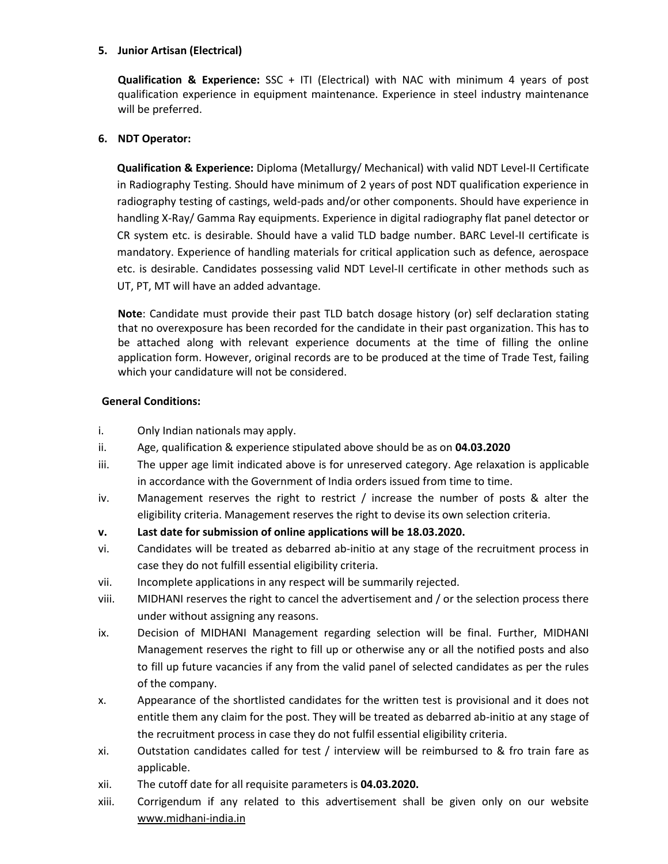# **5. Junior Artisan (Electrical)**

**Qualification & Experience:** SSC + ITI (Electrical) with NAC with minimum 4 years of post qualification experience in equipment maintenance. Experience in steel industry maintenance will be preferred.

# **6. NDT Operator:**

**Qualification & Experience:** Diploma (Metallurgy/ Mechanical) with valid NDT Level-II Certificate in Radiography Testing. Should have minimum of 2 years of post NDT qualification experience in radiography testing of castings, weld-pads and/or other components. Should have experience in handling X-Ray/ Gamma Ray equipments. Experience in digital radiography flat panel detector or CR system etc. is desirable. Should have a valid TLD badge number. BARC Level-II certificate is mandatory. Experience of handling materials for critical application such as defence, aerospace etc. is desirable. Candidates possessing valid NDT Level-II certificate in other methods such as UT, PT, MT will have an added advantage.

**Note**: Candidate must provide their past TLD batch dosage history (or) self declaration stating that no overexposure has been recorded for the candidate in their past organization. This has to be attached along with relevant experience documents at the time of filling the online application form. However, original records are to be produced at the time of Trade Test, failing which your candidature will not be considered.

### **General Conditions:**

- i. Only Indian nationals may apply.
- ii. Age, qualification & experience stipulated above should be as on **04.03.2020**
- iii. The upper age limit indicated above is for unreserved category. Age relaxation is applicable in accordance with the Government of India orders issued from time to time.
- iv. Management reserves the right to restrict / increase the number of posts & alter the eligibility criteria. Management reserves the right to devise its own selection criteria.
- **v. Last date for submission of online applications will be 18.03.2020.**
- vi. Candidates will be treated as debarred ab-initio at any stage of the recruitment process in case they do not fulfill essential eligibility criteria.
- vii. Incomplete applications in any respect will be summarily rejected.
- viii. MIDHANI reserves the right to cancel the advertisement and / or the selection process there under without assigning any reasons.
- ix. Decision of MIDHANI Management regarding selection will be final. Further, MIDHANI Management reserves the right to fill up or otherwise any or all the notified posts and also to fill up future vacancies if any from the valid panel of selected candidates as per the rules of the company.
- x. Appearance of the shortlisted candidates for the written test is provisional and it does not entitle them any claim for the post. They will be treated as debarred ab-initio at any stage of the recruitment process in case they do not fulfil essential eligibility criteria.
- xi. Outstation candidates called for test / interview will be reimbursed to & fro train fare as applicable.
- xii. The cutoff date for all requisite parameters is **04.03.2020.**
- xiii. Corrigendum if any related to this advertisement shall be given only on our website [www.midhani-india.in](http://www.midhani-india.in/)